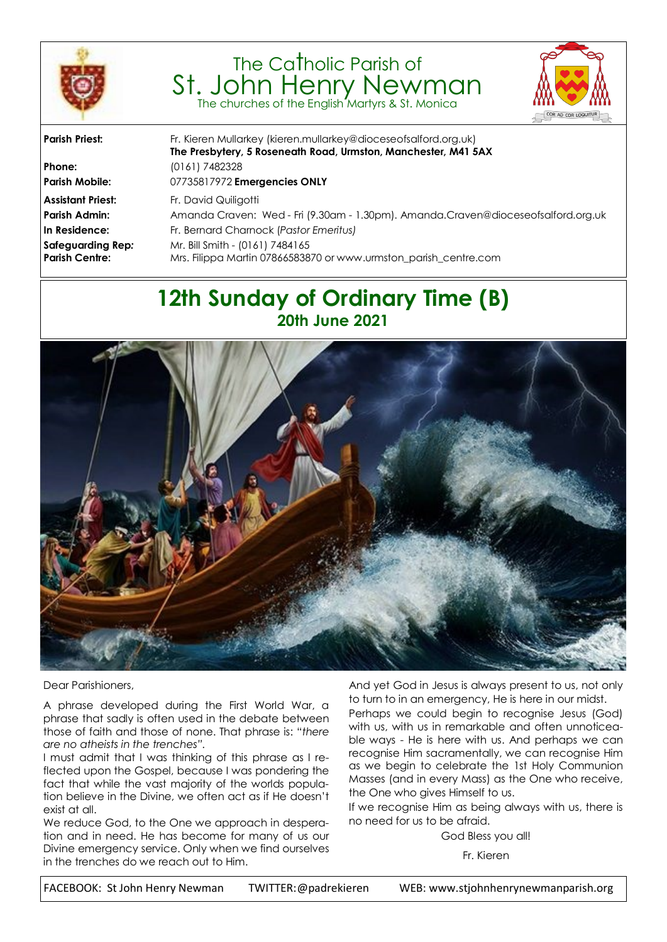

# The Catholic Parish of St. John Henry Newman The churches of the English Martyrs & St. Monica



| <b>Parish Priest:</b>                      | Fr. Kieren Mullarkey (kieren.mullarkey@dioceseofsalford.org.uk)<br>The Presbytery, 5 Roseneath Road, Urmston, Manchester, M41 5AX |  |  |
|--------------------------------------------|-----------------------------------------------------------------------------------------------------------------------------------|--|--|
| Phone:                                     | (0161) 7482328                                                                                                                    |  |  |
| <b>Parish Mobile:</b>                      | 07735817972 Emergencies ONLY                                                                                                      |  |  |
| <b>Assistant Priest:</b>                   | Fr. David Quiligotti                                                                                                              |  |  |
| Parish Admin:                              | Amanda Craven: Wed - Fri (9.30am - 1.30pm). Amanda.Craven@dioceseofsalford.org.uk                                                 |  |  |
| In Residence:                              | Fr. Bernard Charnock (Pastor Emeritus)                                                                                            |  |  |
| Safeguarding Rep:<br><b>Parish Centre:</b> | Mr. Bill Smith - (0161) 7484165<br>Mrs. Filippa Martin 07866583870 or www.urmston_parish_centre.com                               |  |  |
|                                            |                                                                                                                                   |  |  |

# **12th Sunday of Ordinary Time (B) 20th June 2021**



Dear Parishioners,

A phrase developed during the First World War, a phrase that sadly is often used in the debate between those of faith and those of none. That phrase is: "*there are no atheists in the trenches".* 

I must admit that I was thinking of this phrase as I reflected upon the Gospel, because I was pondering the fact that while the vast majority of the worlds population believe in the Divine, we often act as if He doesn't exist at all.

We reduce God, to the One we approach in desperation and in need. He has become for many of us our Divine emergency service. Only when we find ourselves in the trenches do we reach out to Him.

And yet God in Jesus is always present to us, not only to turn to in an emergency, He is here in our midst.

Perhaps we could begin to recognise Jesus (God) with us, with us in remarkable and often unnoticeable ways - He is here with us. And perhaps we can recognise Him sacramentally, we can recognise Him as we begin to celebrate the 1st Holy Communion Masses (and in every Mass) as the One who receive, the One who gives Himself to us.

If we recognise Him as being always with us, there is no need for us to be afraid.

God Bless you all!

Fr. Kieren

FACEBOOK: St John Henry Newman TWITTER:@padrekieren WEB: www.stjohnhenrynewmanparish.org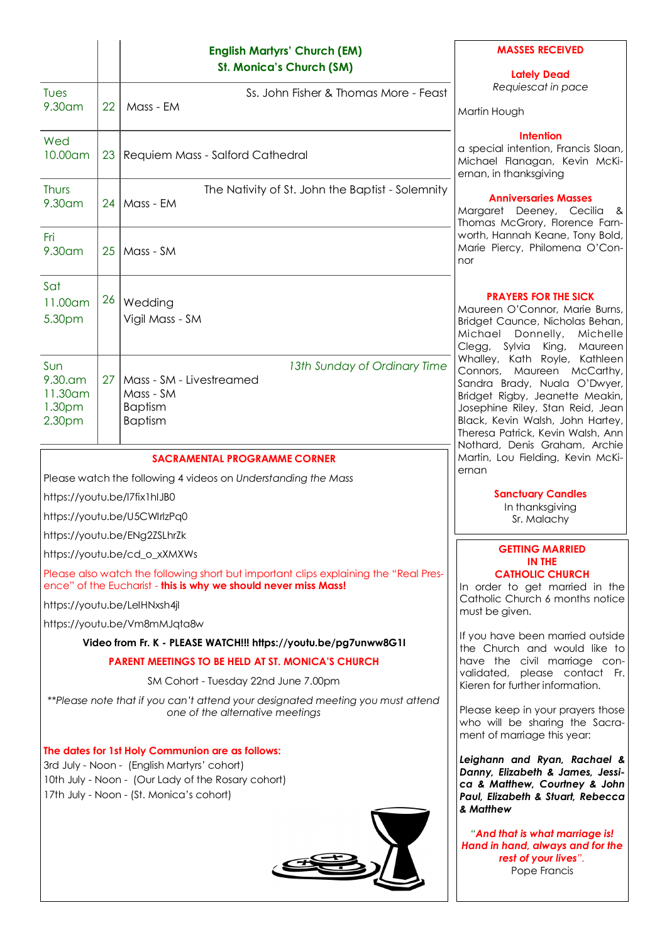|                                                                                                                                                                                                   |                 | <b>English Martyrs' Church (EM)</b><br><b>St. Monica's Church (SM)</b>                                    | <b>MASSES RECEIVED</b><br><b>Lately Dead</b>                                                                                                                                                                                                                                 |  |
|---------------------------------------------------------------------------------------------------------------------------------------------------------------------------------------------------|-----------------|-----------------------------------------------------------------------------------------------------------|------------------------------------------------------------------------------------------------------------------------------------------------------------------------------------------------------------------------------------------------------------------------------|--|
| Tues                                                                                                                                                                                              |                 | Ss. John Fisher & Thomas More - Feast                                                                     | Requiescat in pace                                                                                                                                                                                                                                                           |  |
| 9.30 am                                                                                                                                                                                           | 22              | Mass - EM                                                                                                 | Martin Hough                                                                                                                                                                                                                                                                 |  |
| Wed<br>10.00am                                                                                                                                                                                    | 23              | Requiem Mass - Salford Cathedral                                                                          | Intention<br>a special intention, Francis Sloan,<br>Michael Flanagan, Kevin McKi-                                                                                                                                                                                            |  |
|                                                                                                                                                                                                   |                 |                                                                                                           | ernan, in thanksgiving                                                                                                                                                                                                                                                       |  |
| Thurs<br>9.30 am                                                                                                                                                                                  | 24 I            | The Nativity of St. John the Baptist - Solemnity<br>Mass - EM                                             | <b>Anniversaries Masses</b><br>Margaret Deeney, Cecilia &<br>Thomas McGrory, Florence Farn-                                                                                                                                                                                  |  |
| Fri<br>9.30 am                                                                                                                                                                                    | 25              | Mass - SM                                                                                                 | worth, Hannah Keane, Tony Bold,<br>Marie Piercy, Philomena O'Con-<br>nor                                                                                                                                                                                                     |  |
| Sat<br>11.00 am<br>5.30pm                                                                                                                                                                         | 26              | Wedding<br>Vigil Mass - SM                                                                                | <b>PRAYERS FOR THE SICK</b><br>Maureen O'Connor, Marie Burns,<br>Bridget Caunce, Nicholas Behan,<br>Michael<br>Donnelly,<br>Michelle<br>Clegg, Sylvia<br>King,<br>Maureen                                                                                                    |  |
| Sun<br>$9.30$ .am<br>11.30am<br>1.30 <sub>pm</sub><br>2.30pm                                                                                                                                      | 27 <sup>1</sup> | 13th Sunday of Ordinary Time<br>Mass - SM - Livestreamed<br>Mass - SM<br><b>Baptism</b><br><b>Baptism</b> | Whalley, Kath Royle, Kathleen<br>Connors, Maureen McCarthy,<br>Sandra Brady, Nuala O'Dwyer,<br>Bridget Rigby, Jeanette Meakin,<br>Josephine Riley, Stan Reid, Jean<br>Black, Kevin Walsh, John Hartey,<br>Theresa Patrick, Kevin Walsh, Ann<br>Nothard, Denis Graham, Archie |  |
| <b>SACRAMENTAL PROGRAMME CORNER</b>                                                                                                                                                               |                 |                                                                                                           | Martin, Lou Fielding, Kevin McKi-<br>ernan                                                                                                                                                                                                                                   |  |
| Please watch the following 4 videos on Understanding the Mass                                                                                                                                     |                 |                                                                                                           |                                                                                                                                                                                                                                                                              |  |
| https://youtu.be/l7fix1hlJB0                                                                                                                                                                      |                 |                                                                                                           | <b>Sanctuary Candles</b><br>In thanksgiving                                                                                                                                                                                                                                  |  |
| https://youtu.be/U5CWIrlzPq0                                                                                                                                                                      |                 |                                                                                                           | Sr. Malachy                                                                                                                                                                                                                                                                  |  |
| https://youtu.be/ENg2ZSLhrZk                                                                                                                                                                      |                 |                                                                                                           |                                                                                                                                                                                                                                                                              |  |
| https://youtu.be/cd_o_xXMXWs                                                                                                                                                                      |                 |                                                                                                           | <b>GETTING MARRIED</b><br>IN THE                                                                                                                                                                                                                                             |  |
| Please also watch the following short but important clips explaining the "Real Pres-<br>ence" of the Eucharist - this is why we should never miss Mass!                                           |                 |                                                                                                           | <b>CATHOLIC CHURCH</b><br>In order to get married in the                                                                                                                                                                                                                     |  |
| https://youtu.be/LelHNxsh4jl                                                                                                                                                                      |                 |                                                                                                           | Catholic Church 6 months notice<br>must be given.                                                                                                                                                                                                                            |  |
| https://youtu.be/Vm8mMJqta8w                                                                                                                                                                      |                 |                                                                                                           |                                                                                                                                                                                                                                                                              |  |
| Video from Fr. K - PLEASE WATCH!!! https://youtu.be/pg7unww8G1I                                                                                                                                   |                 |                                                                                                           | If you have been married outside<br>the Church and would like to                                                                                                                                                                                                             |  |
| <b>PARENT MEETINGS TO BE HELD AT ST. MONICA'S CHURCH</b>                                                                                                                                          |                 |                                                                                                           | have the civil marriage con-<br>validated, please contact Fr.                                                                                                                                                                                                                |  |
| SM Cohort - Tuesday 22nd June 7.00pm                                                                                                                                                              |                 |                                                                                                           | Kieren for further information.                                                                                                                                                                                                                                              |  |
| **Please note that if you can't attend your designated meeting you must attend<br>one of the alternative meetings                                                                                 |                 |                                                                                                           | Please keep in your prayers those<br>who will be sharing the Sacra-<br>ment of marriage this year:                                                                                                                                                                           |  |
| The dates for 1st Holy Communion are as follows:<br>3rd July - Noon - (English Martyrs' cohort)<br>10th July - Noon - (Our Lady of the Rosary cohort)<br>17th July - Noon - (St. Monica's cohort) |                 |                                                                                                           | Leighann and Ryan, Rachael &<br>Danny, Elizabeth & James, Jessi-<br>ca & Matthew, Courtney & John<br>Paul, Elizabeth & Stuart, Rebecca<br>& Matthew                                                                                                                          |  |
|                                                                                                                                                                                                   |                 |                                                                                                           | "And that is what marriage is!<br>Hand in hand, always and for the<br>rest of your lives".<br>Pope Francis                                                                                                                                                                   |  |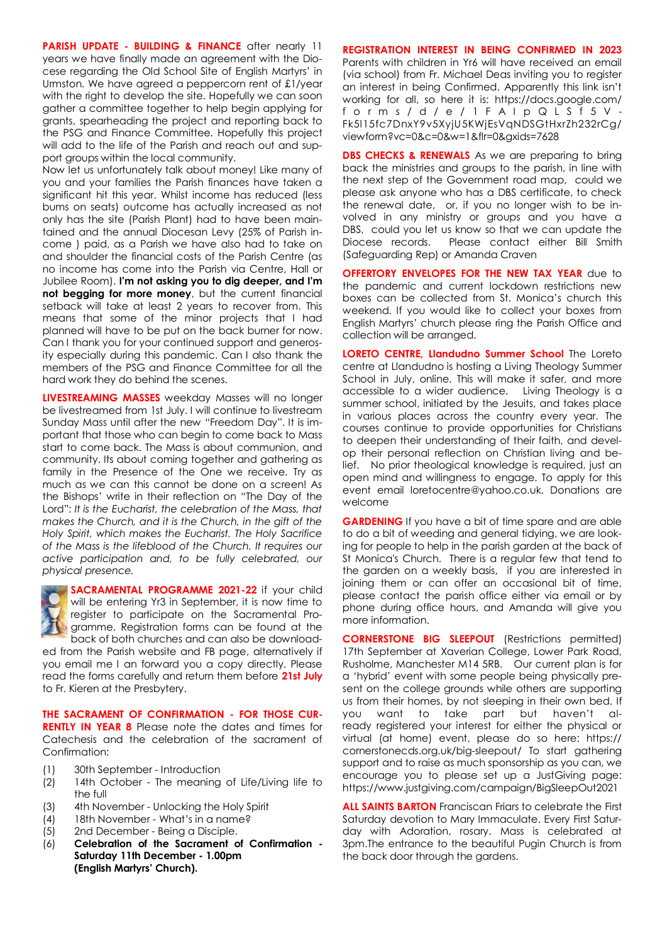**PARISH UPDATE - BUILDING & FINANCE** after nearly 11 years we have finally made an agreement with the Diocese regarding the Old School Site of English Martyrs' in Urmston. We have agreed a peppercorn rent of £1/year with the right to develop the site. Hopefully we can soon gather a committee together to help begin applying for grants, spearheading the project and reporting back to the PSG and Finance Committee. Hopefully this project will add to the life of the Parish and reach out and support groups within the local community.

Now let us unfortunately talk about money! Like many of you and your families the Parish finances have taken a significant hit this year. Whilst income has reduced (less) bums on seats) outcome has actually increased as not only has the site (Parish Plant) had to have been maintained and the annual Diocesan Levy (25% of Parish income ) paid, as a Parish we have also had to take on and shoulder the financial costs of the Parish Centre (as no income has come into the Parish via Centre, Hall or Jubilee Room). **I'm not asking you to dig deeper, and I'm not begging for more money**, but the current financial setback will take at least 2 years to recover from. This means that some of the minor projects that I had planned will have to be put on the back burner for now. Can I thank you for your continued support and generosity especially during this pandemic. Can I also thank the members of the PSG and Finance Committee for all the hard work they do behind the scenes.

**LIVESTREAMING MASSES** weekday Masses will no longer be livestreamed from 1st July. I will continue to livestream Sunday Mass until after the new "Freedom Day". It is important that those who can begin to come back to Mass start to come back. The Mass is about communion, and community. Its about coming together and gathering as family in the Presence of the One we receive. Try as much as we can this cannot be done on a screen! As the Bishops' write in their reflection on "The Day of the Lord": *It is the Eucharist, the celebration of the Mass, that makes the Church, and it is the Church, in the gift of the Holy Spirit, which makes the Eucharist. The Holy Sacrifice of the Mass is the lifeblood of the Church. It requires our active participation and, to be fully celebrated, our physical presence.*



**SACRAMENTAL PROGRAMME 2021-22** if your child will be entering Yr3 in September, it is now time to register to participate on the Sacramental Programme. Registration forms can be found at the back of both churches and can also be download-

ed from the Parish website and FB page, alternatively if you email me I an forward you a copy directly. Please read the forms carefully and return them before **21st July**  to Fr. Kieren at the Presbytery.

**THE SACRAMENT OF CONFIRMATION - FOR THOSE CUR-RENTLY IN YEAR 8** Please note the dates and times for Catechesis and the celebration of the sacrament of Confirmation:

- (1) 30th September Introduction
- (2) 14th October The meaning of Life/Living life to the full
- (3) 4th November Unlocking the Holy Spirit
- (4) 18th November What's in a name?
- (5) 2nd December Being a Disciple.
- (6) **Celebration of the Sacrament of Confirmation - Saturday 11th December - 1.00pm (English Martyrs' Church).**

**REGISTRATION INTEREST IN BEING CONFIRMED IN 2023**  Parents with children in Yr6 will have received an email (via school) from Fr. Michael Deas inviting you to register an interest in being Confirmed. Apparently this link isn't working for all, so here it is: https://docs.google.com/ f o r m s / d / e / 1 F A I p Q L S f 5 V - Fk5l15fc7DnxY9v5XyjU5KWjEsVqNDSGtHxrZh232rCg/ viewform?vc=0&c=0&w=1&flr=0&gxids=7628

**DBS CHECKS & RENEWALS** As we are preparing to bring back the ministries and groups to the parish, in line with the next step of the Government road map, could we please ask anyone who has a DBS certificate, to check the renewal date, or, if you no longer wish to be involved in any ministry or groups and you have a DBS, could you let us know so that we can update the Diocese records. Please contact either Bill Smith (Safeguarding Rep) or Amanda Craven

**OFFERTORY ENVELOPES FOR THE NEW TAX YEAR due to** the pandemic and current lockdown restrictions new boxes can be collected from St. Monica's church this weekend. If you would like to collect your boxes from English Martyrs' church please ring the Parish Office and collection will be arranged.

**LORETO CENTRE, Llandudno Summer School** The Loreto centre at Llandudno is hosting a Living Theology Summer School in July, online. This will make it safer, and more accessible to a wider audience. Living Theology is a summer school, initiated by the Jesuits, and takes place in various places across the country every year. The courses continue to provide opportunities for Christians to deepen their understanding of their faith, and develop their personal reflection on Christian living and belief. No prior theological knowledge is required, just an open mind and willingness to engage. To apply for this event email loretocentre@yahoo.co.uk. Donations are welcome

**GARDENING** If you have a bit of time spare and are able to do a bit of weeding and general tidying, we are looking for people to help in the parish garden at the back of St Monica's Church. There is a regular few that tend to the garden on a weekly basis, if you are interested in joining them or can offer an occasional bit of time, please contact the parish office either via email or by phone during office hours, and Amanda will give you more information.

**CORNERSTONE BIG SLEEPOUT** (Restrictions permitted) 17th September at Xaverian College, Lower Park Road, Rusholme, Manchester M14 5RB. Our current plan is for a 'hybrid' event with some people being physically present on the college grounds while others are supporting us from their homes, by not sleeping in their own bed. If you want to take part but haven't already registered your interest for either the physical or virtual (at home) event, please do so here: https:// cornerstonecds.org.uk/big-sleepout/ To start gathering support and to raise as much sponsorship as you can, we encourage you to please set up a JustGiving page: https://www.justgiving.com/campaign/BigSleepOut2021

**ALL SAINTS BARTON** Franciscan Friars to celebrate the First Saturday devotion to Mary Immaculate. Every First Saturday with Adoration, rosary. Mass is celebrated at 3pm.The entrance to the beautiful Pugin Church is from the back door through the gardens.